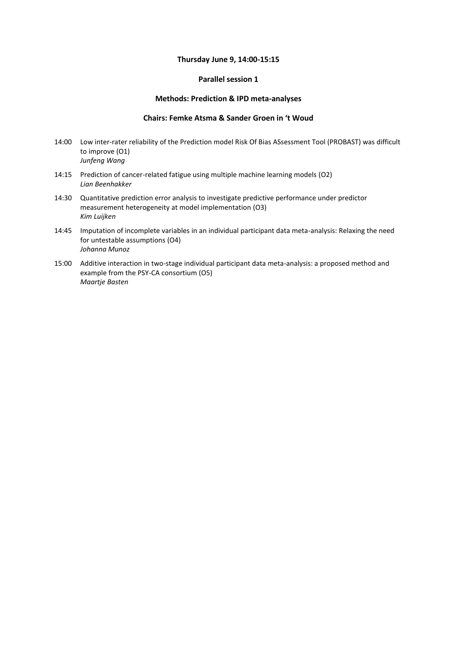#### **Thursday June 9, 14:00-15:15**

### **Parallel session 1**

#### **Methods: Prediction & IPD meta-analyses**

#### **Chairs: Femke Atsma & Sander Groen in 't Woud**

- 14:00 Low inter-rater reliability of the Prediction model Risk Of Bias ASsessment Tool (PROBAST) was difficult to improve (O1) *Junfeng Wang*
- 14:15 Prediction of cancer-related fatigue using multiple machine learning models (O2) *Lian Beenhakker*
- 14:30 Quantitative prediction error analysis to investigate predictive performance under predictor measurement heterogeneity at model implementation (O3) *Kim Luijken*
- 14:45 Imputation of incomplete variables in an individual participant data meta-analysis: Relaxing the need for untestable assumptions (O4) *Johanna Munoz*
- 15:00 Additive interaction in two-stage individual participant data meta-analysis: a proposed method and example from the PSY-CA consortium (O5) *Maartje Basten*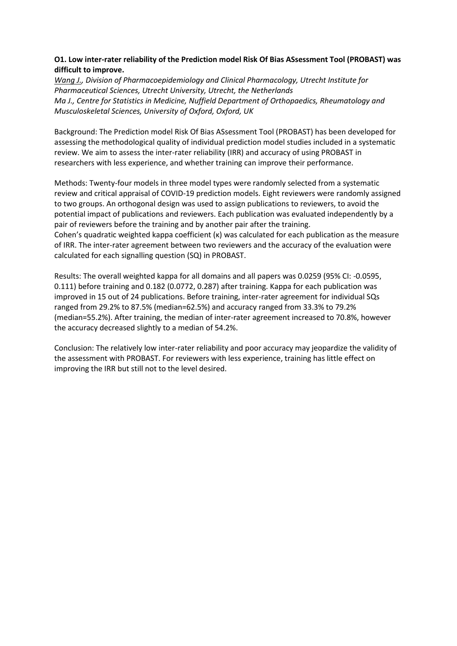# **O1. Low inter-rater reliability of the Prediction model Risk Of Bias ASsessment Tool (PROBAST) was difficult to improve.**

*Wang J., Division of Pharmacoepidemiology and Clinical Pharmacology, Utrecht Institute for Pharmaceutical Sciences, Utrecht University, Utrecht, the Netherlands Ma J., Centre for Statistics in Medicine, Nuffield Department of Orthopaedics, Rheumatology and Musculoskeletal Sciences, University of Oxford, Oxford, UK*

Background: The Prediction model Risk Of Bias ASsessment Tool (PROBAST) has been developed for assessing the methodological quality of individual prediction model studies included in a systematic review. We aim to assess the inter-rater reliability (IRR) and accuracy of using PROBAST in researchers with less experience, and whether training can improve their performance.

Methods: Twenty-four models in three model types were randomly selected from a systematic review and critical appraisal of COVID-19 prediction models. Eight reviewers were randomly assigned to two groups. An orthogonal design was used to assign publications to reviewers, to avoid the potential impact of publications and reviewers. Each publication was evaluated independently by a pair of reviewers before the training and by another pair after the training. Cohen's quadratic weighted kappa coefficient (κ) was calculated for each publication as the measure

of IRR. The inter-rater agreement between two reviewers and the accuracy of the evaluation were calculated for each signalling question (SQ) in PROBAST.

Results: The overall weighted kappa for all domains and all papers was 0.0259 (95% CI: -0.0595, 0.111) before training and 0.182 (0.0772, 0.287) after training. Kappa for each publication was improved in 15 out of 24 publications. Before training, inter-rater agreement for individual SQs ranged from 29.2% to 87.5% (median=62.5%) and accuracy ranged from 33.3% to 79.2% (median=55.2%). After training, the median of inter-rater agreement increased to 70.8%, however the accuracy decreased slightly to a median of 54.2%.

Conclusion: The relatively low inter-rater reliability and poor accuracy may jeopardize the validity of the assessment with PROBAST. For reviewers with less experience, training has little effect on improving the IRR but still not to the level desired.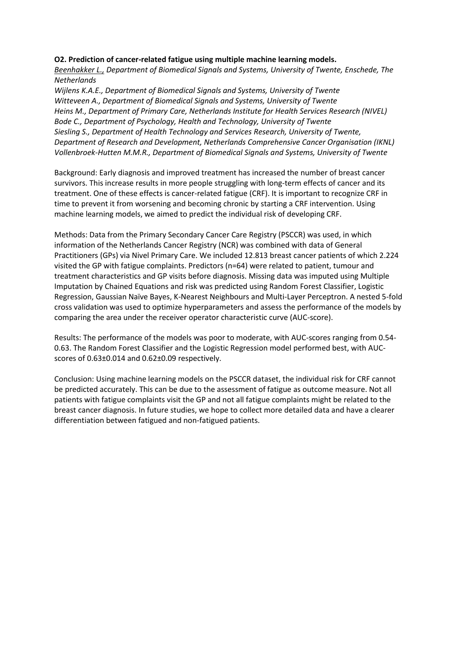### **O2. Prediction of cancer-related fatigue using multiple machine learning models.**

*Beenhakker L., Department of Biomedical Signals and Systems, University of Twente, Enschede, The Netherlands*

*Wijlens K.A.E., Department of Biomedical Signals and Systems, University of Twente Witteveen A., Department of Biomedical Signals and Systems, University of Twente Heins M., Department of Primary Care, Netherlands Institute for Health Services Research (NIVEL) Bode C., Department of Psychology, Health and Technology, University of Twente Siesling S., Department of Health Technology and Services Research, University of Twente, Department of Research and Development, Netherlands Comprehensive Cancer Organisation (IKNL) Vollenbroek-Hutten M.M.R., Department of Biomedical Signals and Systems, University of Twente*

Background: Early diagnosis and improved treatment has increased the number of breast cancer survivors. This increase results in more people struggling with long-term effects of cancer and its treatment. One of these effects is cancer-related fatigue (CRF). It is important to recognize CRF in time to prevent it from worsening and becoming chronic by starting a CRF intervention. Using machine learning models, we aimed to predict the individual risk of developing CRF.

Methods: Data from the Primary Secondary Cancer Care Registry (PSCCR) was used, in which information of the Netherlands Cancer Registry (NCR) was combined with data of General Practitioners (GPs) via Nivel Primary Care. We included 12.813 breast cancer patients of which 2.224 visited the GP with fatigue complaints. Predictors (n=64) were related to patient, tumour and treatment characteristics and GP visits before diagnosis. Missing data was imputed using Multiple Imputation by Chained Equations and risk was predicted using Random Forest Classifier, Logistic Regression, Gaussian Naïve Bayes, K-Nearest Neighbours and Multi-Layer Perceptron. A nested 5-fold cross validation was used to optimize hyperparameters and assess the performance of the models by comparing the area under the receiver operator characteristic curve (AUC-score).

Results: The performance of the models was poor to moderate, with AUC-scores ranging from 0.54- 0.63. The Random Forest Classifier and the Logistic Regression model performed best, with AUCscores of 0.63±0.014 and 0.62±0.09 respectively.

Conclusion: Using machine learning models on the PSCCR dataset, the individual risk for CRF cannot be predicted accurately. This can be due to the assessment of fatigue as outcome measure. Not all patients with fatigue complaints visit the GP and not all fatigue complaints might be related to the breast cancer diagnosis. In future studies, we hope to collect more detailed data and have a clearer differentiation between fatigued and non-fatigued patients.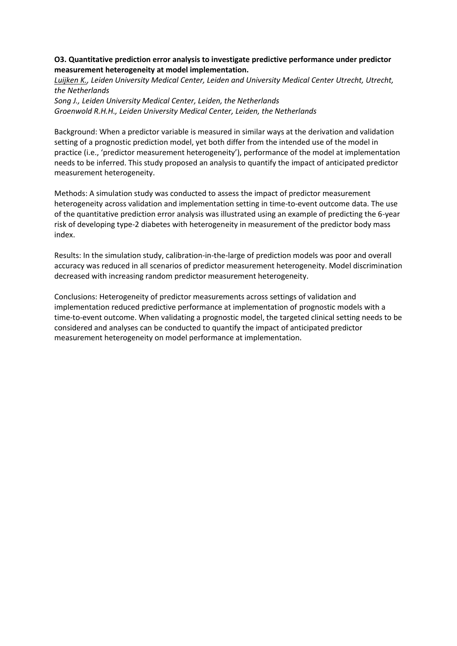### **O3. Quantitative prediction error analysis to investigate predictive performance under predictor measurement heterogeneity at model implementation.**

*Luijken K., Leiden University Medical Center, Leiden and University Medical Center Utrecht, Utrecht, the Netherlands Song J., Leiden University Medical Center, Leiden, the Netherlands Groenwold R.H.H., Leiden University Medical Center, Leiden, the Netherlands*

Background: When a predictor variable is measured in similar ways at the derivation and validation setting of a prognostic prediction model, yet both differ from the intended use of the model in practice (i.e., 'predictor measurement heterogeneity'), performance of the model at implementation needs to be inferred. This study proposed an analysis to quantify the impact of anticipated predictor measurement heterogeneity.

Methods: A simulation study was conducted to assess the impact of predictor measurement heterogeneity across validation and implementation setting in time-to-event outcome data. The use of the quantitative prediction error analysis was illustrated using an example of predicting the 6-year risk of developing type-2 diabetes with heterogeneity in measurement of the predictor body mass index.

Results: In the simulation study, calibration-in-the-large of prediction models was poor and overall accuracy was reduced in all scenarios of predictor measurement heterogeneity. Model discrimination decreased with increasing random predictor measurement heterogeneity.

Conclusions: Heterogeneity of predictor measurements across settings of validation and implementation reduced predictive performance at implementation of prognostic models with a time-to-event outcome. When validating a prognostic model, the targeted clinical setting needs to be considered and analyses can be conducted to quantify the impact of anticipated predictor measurement heterogeneity on model performance at implementation.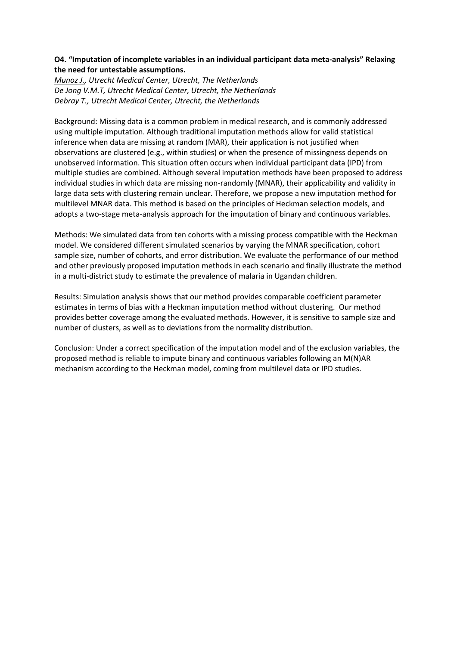# **O4. "Imputation of incomplete variables in an individual participant data meta-analysis" Relaxing the need for untestable assumptions.**

*Munoz J., Utrecht Medical Center, Utrecht, The Netherlands De Jong V.M.T, Utrecht Medical Center, Utrecht, the Netherlands Debray T., Utrecht Medical Center, Utrecht, the Netherlands*

Background: Missing data is a common problem in medical research, and is commonly addressed using multiple imputation. Although traditional imputation methods allow for valid statistical inference when data are missing at random (MAR), their application is not justified when observations are clustered (e.g., within studies) or when the presence of missingness depends on unobserved information. This situation often occurs when individual participant data (IPD) from multiple studies are combined. Although several imputation methods have been proposed to address individual studies in which data are missing non-randomly (MNAR), their applicability and validity in large data sets with clustering remain unclear. Therefore, we propose a new imputation method for multilevel MNAR data. This method is based on the principles of Heckman selection models, and adopts a two-stage meta-analysis approach for the imputation of binary and continuous variables.

Methods: We simulated data from ten cohorts with a missing process compatible with the Heckman model. We considered different simulated scenarios by varying the MNAR specification, cohort sample size, number of cohorts, and error distribution. We evaluate the performance of our method and other previously proposed imputation methods in each scenario and finally illustrate the method in a multi-district study to estimate the prevalence of malaria in Ugandan children.

Results: Simulation analysis shows that our method provides comparable coefficient parameter estimates in terms of bias with a Heckman imputation method without clustering. Our method provides better coverage among the evaluated methods. However, it is sensitive to sample size and number of clusters, as well as to deviations from the normality distribution.

Conclusion: Under a correct specification of the imputation model and of the exclusion variables, the proposed method is reliable to impute binary and continuous variables following an M(N)AR mechanism according to the Heckman model, coming from multilevel data or IPD studies.